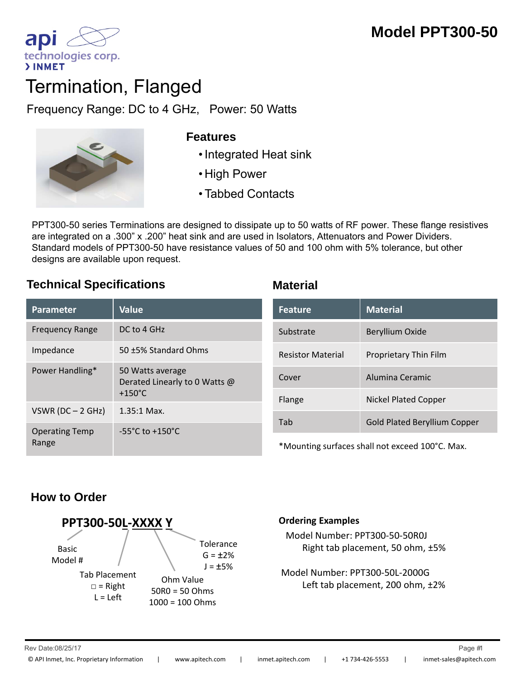

# Termination, Flanged

Frequency Range: DC to 4 GHz, Power: 50 Watts



#### **Features**

- 
- High Power
- Tabbed Contacts

PPT300-50 series Terminations are designed to dissipate up to 50 watts of RF power. These flange resistives are integrated on a .300" x .200" heat sink and are used in Isolators, Attenuators and Power Dividers. Standard models of PPT300-50 have resistance values of 50 and 100 ohm with 5% tolerance, but other designs are available upon request.

### **Technical Specifications Material**

| <b>Parameter</b>               | Value                                                                 |
|--------------------------------|-----------------------------------------------------------------------|
| <b>Frequency Range</b>         | DC to 4 GHz                                                           |
| Impedance                      | 50 ±5% Standard Ohms                                                  |
| Power Handling*                | 50 Watts average<br>Derated Linearly to 0 Watts @<br>$+150^{\circ}$ C |
| VSWR (DC $-$ 2 GHz)            | $1.35:1$ Max.                                                         |
| <b>Operating Temp</b><br>Range | $-55^{\circ}$ C to $+150^{\circ}$ C                                   |

| Feature                  | <b>Material</b>                     |
|--------------------------|-------------------------------------|
| Substrate                | Beryllium Oxide                     |
| <b>Resistor Material</b> | Proprietary Thin Film               |
| Cover                    | Alumina Ceramic                     |
| Flange                   | <b>Nickel Plated Copper</b>         |
| Tah                      | <b>Gold Plated Beryllium Copper</b> |

\*Mounting surfaces shall not exceed 100°C. Max.

# **How to Order**



#### **Ordering Examples**

Model Number: PPT300‐50‐50R0J Right tab placement, 50 ohm, ±5%

Model Number: PPT300‐50L‐2000G Left tab placement, 200 ohm, ±2%